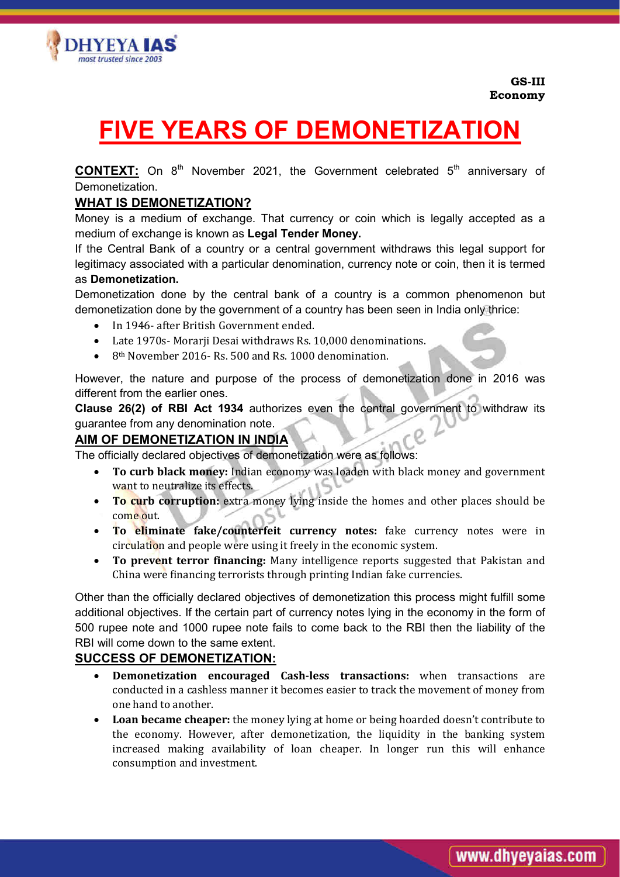

# DHYEYA I**AS** nost trusted since 200

# FIVE YEARS OF DEMONETIZATION

**CONTEXT:** On  $8<sup>th</sup>$  November 2021, the Government celebrated  $5<sup>th</sup>$  anniversary of Demonetization.

## WHAT IS DEMONETIZATION?

Money is a medium of exchange. That currency or coin which is legally accepted as a medium of exchange is known as Legal Tender Money.

If the Central Bank of a country or a central government withdraws this legal support for legitimacy associated with a particular denomination, currency note or coin, then it is termed as Demonetization.

Demonetization done by the central bank of a country is a common phenomenon but demonetization done by the government of a country has been seen in India only thrice:

- In 1946- after British Government ended.
- Late 1970s- Morarji Desai withdraws Rs. 10,000 denominations.
- 8<sup>th</sup> November 2016- Rs. 500 and Rs. 1000 denomination.

However, the nature and purpose of the process of demonetization done in 2016 was different from the earlier ones.

Clause 26(2) of RBI Act 1934 authorizes even the central government to withdraw its guarantee from any denomination note.

#### AIM OF DEMONETIZATION IN INDIA

The officially declared objectives of demonetization were as follows:

- To curb black money: Indian economy was loaden with black money and government want to neutralize its effects.
- To curb corruption: extra money lying inside the homes and other places should be come out.
- To eliminate fake/counterfeit currency notes: fake currency notes were in circulation and people were using it freely in the economic system.
- To prevent terror financing: Many intelligence reports suggested that Pakistan and China were financing terrorists through printing Indian fake currencies.

Other than the officially declared objectives of demonetization this process might fulfill some additional objectives. If the certain part of currency notes lying in the economy in the form of 500 rupee note and 1000 rupee note fails to come back to the RBI then the liability of the RBI will come down to the same extent.

#### SUCCESS OF DEMONETIZATION:

- Demonetization encouraged Cash-less transactions: when transactions are conducted in a cashless manner it becomes easier to track the movement of money from one hand to another.
- Loan became cheaper: the money lying at home or being hoarded doesn't contribute to the economy. However, after demonetization, the liquidity in the banking system increased making availability of loan cheaper. In longer run this will enhance consumption and investment.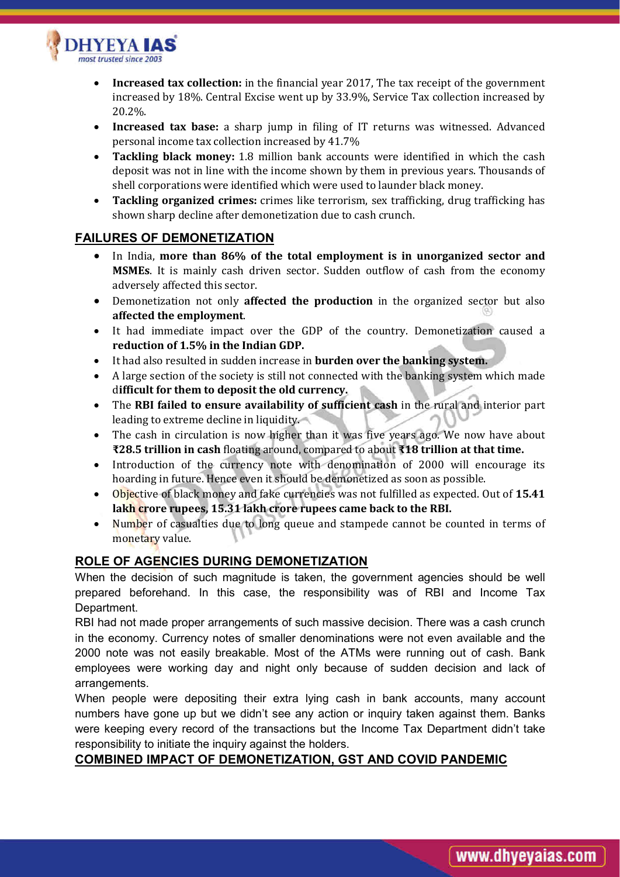

- Increased tax collection: in the financial year 2017, The tax receipt of the government increased by 18%. Central Excise went up by 33.9%, Service Tax collection increased by 20.2%.
- Increased tax base: a sharp jump in filing of IT returns was witnessed. Advanced personal income tax collection increased by 41.7%
- Tackling black money: 1.8 million bank accounts were identified in which the cash deposit was not in line with the income shown by them in previous years. Thousands of shell corporations were identified which were used to launder black money.
- Tackling organized crimes: crimes like terrorism, sex trafficking, drug trafficking has shown sharp decline after demonetization due to cash crunch.

#### FAILURES OF DEMONETIZATION

- In India, more than 86% of the total employment is in unorganized sector and MSMEs. It is mainly cash driven sector. Sudden outflow of cash from the economy adversely affected this sector.
- Demonetization not only affected the production in the organized sector but also affected the employment.
- It had immediate impact over the GDP of the country. Demonetization caused a reduction of 1.5% in the Indian GDP.
- It had also resulted in sudden increase in **burden over the banking system.**
- A large section of the society is still not connected with the banking system which made difficult for them to deposit the old currency.
- The RBI failed to ensure availability of sufficient cash in the rural and interior part leading to extreme decline in liquidity.
- The cash in circulation is now higher than it was five years ago. We now have about ₹28.5 trillion in cash floating around, compared to about ₹18 trillion at that time.
- Introduction of the currency note with denomination of 2000 will encourage its hoarding in future. Hence even it should be demonetized as soon as possible.
- Objective of black money and fake currencies was not fulfilled as expected. Out of 15.41 lakh crore rupees, 15.31 lakh crore rupees came back to the RBI.
- Number of casualties due to long queue and stampede cannot be counted in terms of monetary value.

### ROLE OF AGENCIES DURING DEMONETIZATION

When the decision of such magnitude is taken, the government agencies should be well prepared beforehand. In this case, the responsibility was of RBI and Income Tax Department.

RBI had not made proper arrangements of such massive decision. There was a cash crunch in the economy. Currency notes of smaller denominations were not even available and the 2000 note was not easily breakable. Most of the ATMs were running out of cash. Bank employees were working day and night only because of sudden decision and lack of arrangements.

When people were depositing their extra lying cash in bank accounts, many account numbers have gone up but we didn't see any action or inquiry taken against them. Banks were keeping every record of the transactions but the Income Tax Department didn't take responsibility to initiate the inquiry against the holders.

### COMBINED IMPACT OF DEMONETIZATION, GST AND COVID PANDEMIC